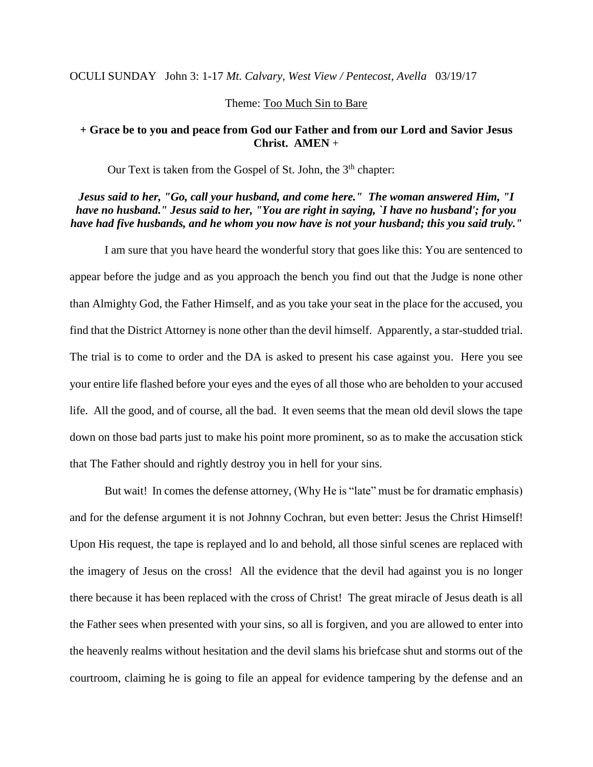OCULI SUNDAY John 3: 1-17 *Mt. Calvary, West View / Pentecost, Avella* 03/19/17

### Theme: Too Much Sin to Bare

### **+ Grace be to you and peace from God our Father and from our Lord and Savior Jesus Christ. AMEN** +

Our Text is taken from the Gospel of St. John, the 3<sup>th</sup> chapter:

# *Jesus said to her, "Go, call your husband, and come here." The woman answered Him, "I have no husband." Jesus said to her, "You are right in saying, `I have no husband'; for you have had five husbands, and he whom you now have is not your husband; this you said truly."*

I am sure that you have heard the wonderful story that goes like this: You are sentenced to appear before the judge and as you approach the bench you find out that the Judge is none other than Almighty God, the Father Himself, and as you take your seat in the place for the accused, you find that the District Attorney is none other than the devil himself. Apparently, a star-studded trial. The trial is to come to order and the DA is asked to present his case against you. Here you see your entire life flashed before your eyes and the eyes of all those who are beholden to your accused life. All the good, and of course, all the bad. It even seems that the mean old devil slows the tape down on those bad parts just to make his point more prominent, so as to make the accusation stick that The Father should and rightly destroy you in hell for your sins.

But wait! In comes the defense attorney, (Why He is "late" must be for dramatic emphasis) and for the defense argument it is not Johnny Cochran, but even better: Jesus the Christ Himself! Upon His request, the tape is replayed and lo and behold, all those sinful scenes are replaced with the imagery of Jesus on the cross! All the evidence that the devil had against you is no longer there because it has been replaced with the cross of Christ! The great miracle of Jesus death is all the Father sees when presented with your sins, so all is forgiven, and you are allowed to enter into the heavenly realms without hesitation and the devil slams his briefcase shut and storms out of the courtroom, claiming he is going to file an appeal for evidence tampering by the defense and an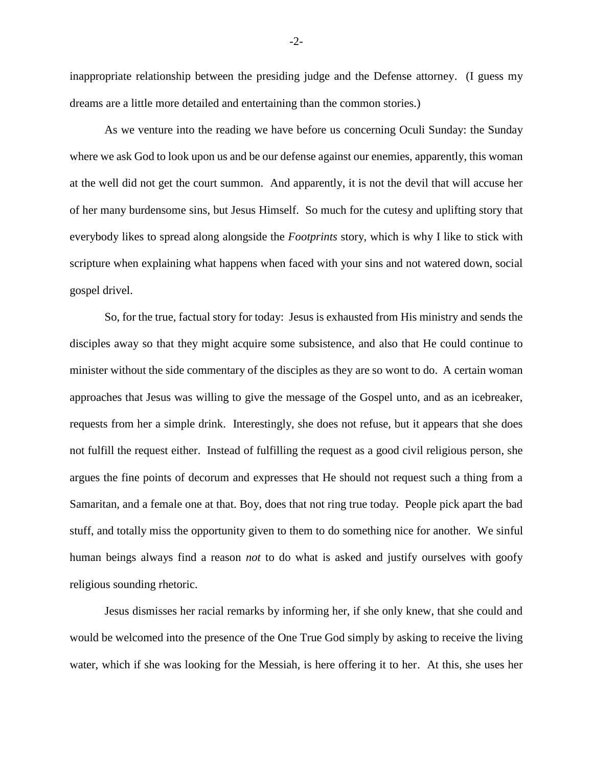inappropriate relationship between the presiding judge and the Defense attorney. (I guess my dreams are a little more detailed and entertaining than the common stories.)

As we venture into the reading we have before us concerning Oculi Sunday: the Sunday where we ask God to look upon us and be our defense against our enemies, apparently, this woman at the well did not get the court summon. And apparently, it is not the devil that will accuse her of her many burdensome sins, but Jesus Himself. So much for the cutesy and uplifting story that everybody likes to spread along alongside the *Footprints* story, which is why I like to stick with scripture when explaining what happens when faced with your sins and not watered down, social gospel drivel.

So, for the true, factual story for today: Jesus is exhausted from His ministry and sends the disciples away so that they might acquire some subsistence, and also that He could continue to minister without the side commentary of the disciples as they are so wont to do. A certain woman approaches that Jesus was willing to give the message of the Gospel unto, and as an icebreaker, requests from her a simple drink. Interestingly, she does not refuse, but it appears that she does not fulfill the request either. Instead of fulfilling the request as a good civil religious person, she argues the fine points of decorum and expresses that He should not request such a thing from a Samaritan, and a female one at that. Boy, does that not ring true today. People pick apart the bad stuff, and totally miss the opportunity given to them to do something nice for another. We sinful human beings always find a reason *not* to do what is asked and justify ourselves with goofy religious sounding rhetoric.

Jesus dismisses her racial remarks by informing her, if she only knew, that she could and would be welcomed into the presence of the One True God simply by asking to receive the living water, which if she was looking for the Messiah, is here offering it to her. At this, she uses her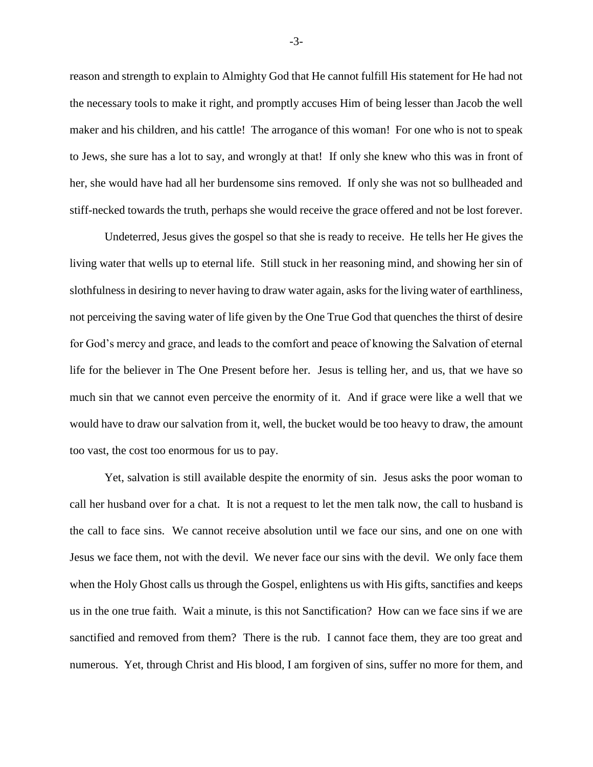reason and strength to explain to Almighty God that He cannot fulfill His statement for He had not the necessary tools to make it right, and promptly accuses Him of being lesser than Jacob the well maker and his children, and his cattle! The arrogance of this woman! For one who is not to speak to Jews, she sure has a lot to say, and wrongly at that! If only she knew who this was in front of her, she would have had all her burdensome sins removed. If only she was not so bullheaded and stiff-necked towards the truth, perhaps she would receive the grace offered and not be lost forever.

Undeterred, Jesus gives the gospel so that she is ready to receive. He tells her He gives the living water that wells up to eternal life. Still stuck in her reasoning mind, and showing her sin of slothfulness in desiring to never having to draw water again, asks for the living water of earthliness, not perceiving the saving water of life given by the One True God that quenches the thirst of desire for God's mercy and grace, and leads to the comfort and peace of knowing the Salvation of eternal life for the believer in The One Present before her. Jesus is telling her, and us, that we have so much sin that we cannot even perceive the enormity of it. And if grace were like a well that we would have to draw our salvation from it, well, the bucket would be too heavy to draw, the amount too vast, the cost too enormous for us to pay.

Yet, salvation is still available despite the enormity of sin. Jesus asks the poor woman to call her husband over for a chat. It is not a request to let the men talk now, the call to husband is the call to face sins. We cannot receive absolution until we face our sins, and one on one with Jesus we face them, not with the devil. We never face our sins with the devil. We only face them when the Holy Ghost calls us through the Gospel, enlightens us with His gifts, sanctifies and keeps us in the one true faith. Wait a minute, is this not Sanctification? How can we face sins if we are sanctified and removed from them? There is the rub. I cannot face them, they are too great and numerous. Yet, through Christ and His blood, I am forgiven of sins, suffer no more for them, and

-3-